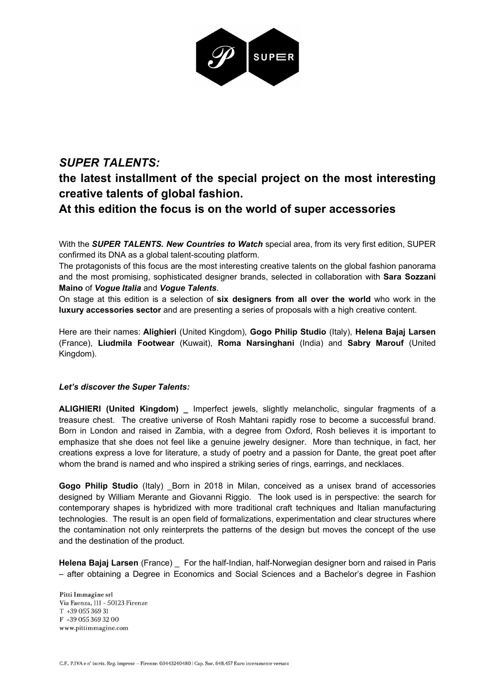

## *SUPER TALENTS:*  **the latest installment of the special project on the most interesting creative talents of global fashion. At this edition the focus is on the world of super accessories**

With the *SUPER TALENTS. New Countries to Watch* special area, from its very first edition, SUPER confirmed its DNA as a global talent-scouting platform.

The protagonists of this focus are the most interesting creative talents on the global fashion panorama and the most promising, sophisticated designer brands, selected in collaboration with **Sara Sozzani Maino** of *Vogue Italia* and *Vogue Talents*.

On stage at this edition is a selection of **six designers from all over the world** who work in the **luxury accessories sector** and are presenting a series of proposals with a high creative content.

Here are their names: **Alighieri** (United Kingdom), **Gogo Philip Studio** (Italy), **Helena Bajaj Larsen**  (France), **Liudmila Footwear** (Kuwait), **Roma Narsinghani** (India) and **Sabry Marouf** (United Kingdom).

## *Let's discover the Super Talents:*

**ALIGHIERI (United Kingdom) \_** Imperfect jewels, slightly melancholic, singular fragments of a treasure chest. The creative universe of Rosh Mahtani rapidly rose to become a successful brand. Born in London and raised in Zambia, with a degree from Oxford, Rosh believes it is important to emphasize that she does not feel like a genuine jewelry designer. More than technique, in fact, her creations express a love for literature, a study of poetry and a passion for Dante, the great poet after whom the brand is named and who inspired a striking series of rings, earrings, and necklaces.

**Gogo Philip Studio** (Italy) \_Born in 2018 in Milan, conceived as a unisex brand of accessories designed by William Merante and Giovanni Riggio. The look used is in perspective: the search for contemporary shapes is hybridized with more traditional craft techniques and Italian manufacturing technologies. The result is an open field of formalizations, experimentation and clear structures where the contamination not only reinterprets the patterns of the design but moves the concept of the use and the destination of the product.

**Helena Bajaj Larsen** (France) \_ For the half-Indian, half-Norwegian designer born and raised in Paris – after obtaining a Degree in Economics and Social Sciences and a Bachelor's degree in Fashion

Pitti Immagine srl Via Faenza, 111 - 50123 Firenze T +39 055 369 31  $F$  +39 055 369 32 00<br>www.pittimmagine.com